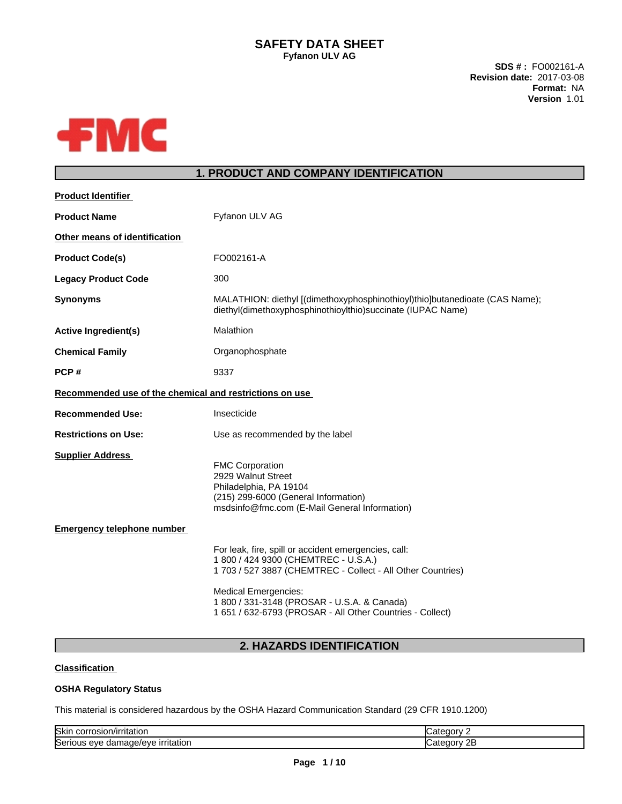**SDS # :** FO002161-A **Revision date:** 2017-03-08 **Format:** NA **Version** 1.01



## **1. PRODUCT AND COMPANY IDENTIFICATION**

| <b>Product Identifier</b>                               |                                                                                                                                                                                                                                                                                                        |
|---------------------------------------------------------|--------------------------------------------------------------------------------------------------------------------------------------------------------------------------------------------------------------------------------------------------------------------------------------------------------|
| <b>Product Name</b>                                     | Fyfanon ULV AG                                                                                                                                                                                                                                                                                         |
| Other means of identification                           |                                                                                                                                                                                                                                                                                                        |
| <b>Product Code(s)</b>                                  | FO002161-A                                                                                                                                                                                                                                                                                             |
| <b>Legacy Product Code</b>                              | 300                                                                                                                                                                                                                                                                                                    |
| <b>Synonyms</b>                                         | MALATHION: diethyl [(dimethoxyphosphinothioyl)thio]butanedioate (CAS Name);<br>diethyl(dimethoxyphosphinothioylthio)succinate (IUPAC Name)                                                                                                                                                             |
| <b>Active Ingredient(s)</b>                             | Malathion                                                                                                                                                                                                                                                                                              |
| <b>Chemical Family</b>                                  | Organophosphate                                                                                                                                                                                                                                                                                        |
| PCP#                                                    | 9337                                                                                                                                                                                                                                                                                                   |
| Recommended use of the chemical and restrictions on use |                                                                                                                                                                                                                                                                                                        |
| <b>Recommended Use:</b>                                 | Insecticide                                                                                                                                                                                                                                                                                            |
| <b>Restrictions on Use:</b>                             | Use as recommended by the label                                                                                                                                                                                                                                                                        |
| <b>Supplier Address</b>                                 | <b>FMC Corporation</b><br>2929 Walnut Street<br>Philadelphia, PA 19104<br>(215) 299-6000 (General Information)<br>msdsinfo@fmc.com (E-Mail General Information)                                                                                                                                        |
| <b>Emergency telephone number</b>                       |                                                                                                                                                                                                                                                                                                        |
|                                                         | For leak, fire, spill or accident emergencies, call:<br>1 800 / 424 9300 (CHEMTREC - U.S.A.)<br>1 703 / 527 3887 (CHEMTREC - Collect - All Other Countries)<br><b>Medical Emergencies:</b><br>1 800 / 331-3148 (PROSAR - U.S.A. & Canada)<br>1 651 / 632-6793 (PROSAR - All Other Countries - Collect) |
|                                                         |                                                                                                                                                                                                                                                                                                        |

# **2. HAZARDS IDENTIFICATION**

#### **Classification**

#### **OSHA Regulatory Status**

This material is considered hazardous by the OSHA Hazard Communication Standard (29 CFR 1910.1200)

| <b>Skin</b><br>rrosion/irritation<br>COLI                           |   |
|---------------------------------------------------------------------|---|
| <b>Serious</b><br><b>rritation</b><br>۱۵۷۴<br>------<br>eve<br>uarr | ᅩ |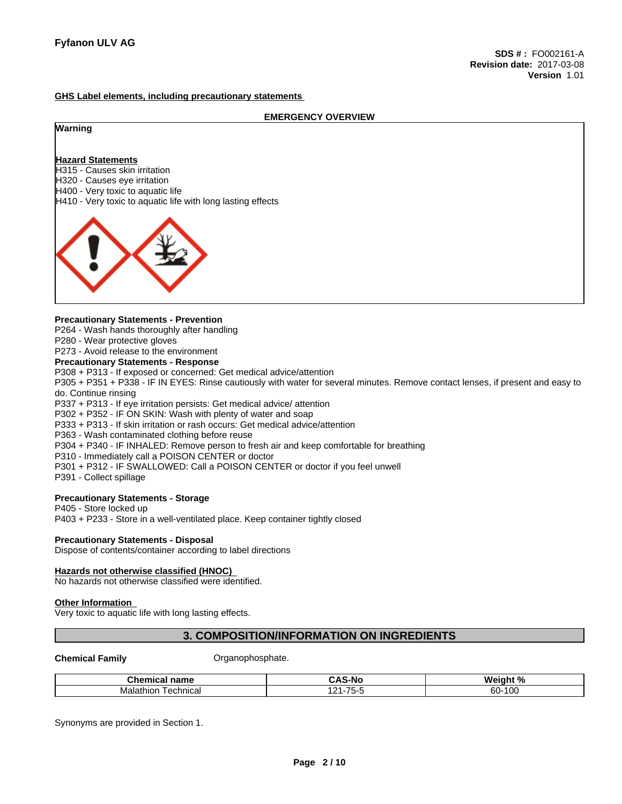#### **GHS Label elements, including precautionary statements**

**EMERGENCY OVERVIEW Warning Hazard Statements** H315 - Causes skin irritation H320 - Causes eye irritation H400 - Very toxic to aquatic life H410 - Very toxic to aquatic life with long lasting effects

#### **Precautionary Statements - Prevention**

P264 - Wash hands thoroughly after handling

P280 - Wear protective gloves

### P273 - Avoid release to the environment

**Precautionary Statements - Response**

P308 + P313 - If exposed or concerned: Get medical advice/attention

P305 + P351 + P338 - IF IN EYES: Rinse cautiously with water forseveral minutes. Remove contact lenses, if present and easy to do. Continue rinsing

P337 + P313 - If eye irritation persists: Get medical advice/ attention

P302 + P352 - IF ON SKIN: Wash with plenty of water and soap

P333 + P313 - If skin irritation or rash occurs: Get medical advice/attention

P363 - Wash contaminated clothing before reuse

P304 + P340 - IF INHALED: Remove person to fresh air and keep comfortable for breathing

- P310 Immediately call a POISON CENTER or doctor
- P301 + P312 IF SWALLOWED: Call a POISON CENTER or doctor if you feel unwell

P391 - Collect spillage

#### **Precautionary Statements - Storage**

P405 - Store locked up P403 + P233 - Store in a well-ventilated place. Keep container tightly closed

#### **Precautionary Statements - Disposal**

Dispose of contents/container according to label directions

#### **Hazards not otherwise classified (HNOC)** No hazards not otherwise classified were identified.

# **Other Information**

Very toxic to aquatic life with long lasting effects.

### **3. COMPOSITION/INFORMATION ON INGREDIENTS**

#### **Chemical Family Chemical Family Chemical Family Chemical Family**

| <b>Chemical name</b>        | <b>CAS-No</b>                                           | ده د<br>Weiahı        |
|-----------------------------|---------------------------------------------------------|-----------------------|
| Malathior<br>l echnical<br> | .<br>$\rightarrow$ $\rightarrow$ $\rightarrow$<br>-<br> | )-100<br>$\sim$<br>υυ |

Synonyms are provided in Section 1.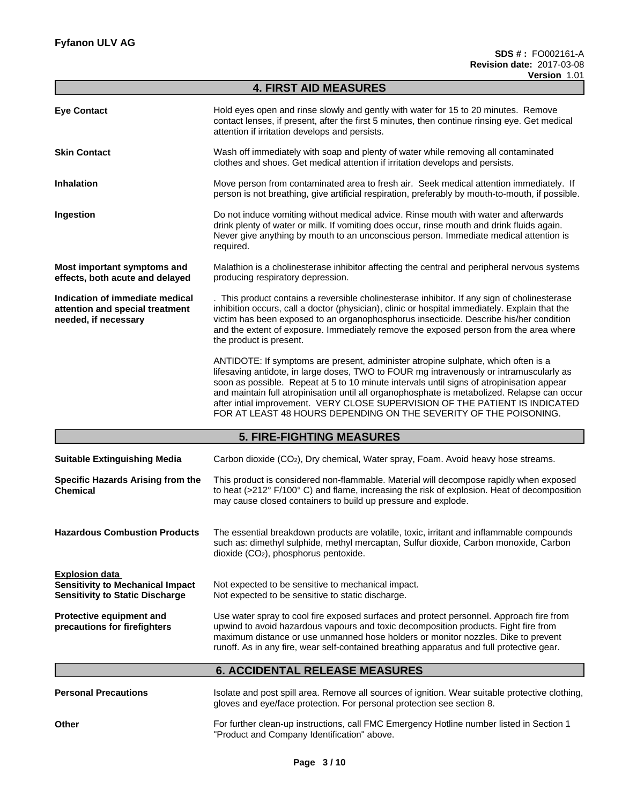|                                                                                                            | <b>4. FIRST AID MEASURES</b>                                                                                                                                                                                                                                                                                                                                                                                                                                                                                                   |  |  |  |  |
|------------------------------------------------------------------------------------------------------------|--------------------------------------------------------------------------------------------------------------------------------------------------------------------------------------------------------------------------------------------------------------------------------------------------------------------------------------------------------------------------------------------------------------------------------------------------------------------------------------------------------------------------------|--|--|--|--|
| <b>Eye Contact</b>                                                                                         | Hold eyes open and rinse slowly and gently with water for 15 to 20 minutes. Remove<br>contact lenses, if present, after the first 5 minutes, then continue rinsing eye. Get medical<br>attention if irritation develops and persists.                                                                                                                                                                                                                                                                                          |  |  |  |  |
| <b>Skin Contact</b>                                                                                        | Wash off immediately with soap and plenty of water while removing all contaminated<br>clothes and shoes. Get medical attention if irritation develops and persists.                                                                                                                                                                                                                                                                                                                                                            |  |  |  |  |
| Inhalation                                                                                                 | Move person from contaminated area to fresh air. Seek medical attention immediately. If<br>person is not breathing, give artificial respiration, preferably by mouth-to-mouth, if possible.                                                                                                                                                                                                                                                                                                                                    |  |  |  |  |
| Ingestion                                                                                                  | Do not induce vomiting without medical advice. Rinse mouth with water and afterwards<br>drink plenty of water or milk. If vomiting does occur, rinse mouth and drink fluids again.<br>Never give anything by mouth to an unconscious person. Immediate medical attention is<br>required.                                                                                                                                                                                                                                       |  |  |  |  |
| Most important symptoms and<br>effects, both acute and delayed                                             | Malathion is a cholinesterase inhibitor affecting the central and peripheral nervous systems<br>producing respiratory depression.                                                                                                                                                                                                                                                                                                                                                                                              |  |  |  |  |
| Indication of immediate medical<br>attention and special treatment<br>needed, if necessary                 | . This product contains a reversible cholinesterase inhibitor. If any sign of cholinesterase<br>inhibition occurs, call a doctor (physician), clinic or hospital immediately. Explain that the<br>victim has been exposed to an organophosphorus insecticide. Describe his/her condition<br>and the extent of exposure. Immediately remove the exposed person from the area where<br>the product is present.                                                                                                                   |  |  |  |  |
|                                                                                                            | ANTIDOTE: If symptoms are present, administer atropine sulphate, which often is a<br>lifesaving antidote, in large doses, TWO to FOUR mg intravenously or intramuscularly as<br>soon as possible. Repeat at 5 to 10 minute intervals until signs of atropinisation appear<br>and maintain full atropinisation until all organophosphate is metabolized. Relapse can occur<br>after intial improvement. VERY CLOSE SUPERVISION OF THE PATIENT IS INDICATED<br>FOR AT LEAST 48 HOURS DEPENDING ON THE SEVERITY OF THE POISONING. |  |  |  |  |
|                                                                                                            | <b>5. FIRE-FIGHTING MEASURES</b>                                                                                                                                                                                                                                                                                                                                                                                                                                                                                               |  |  |  |  |
| <b>Suitable Extinguishing Media</b>                                                                        | Carbon dioxide (CO <sub>2</sub> ), Dry chemical, Water spray, Foam. Avoid heavy hose streams.                                                                                                                                                                                                                                                                                                                                                                                                                                  |  |  |  |  |
| Specific Hazards Arising from the<br><b>Chemical</b>                                                       | This product is considered non-flammable. Material will decompose rapidly when exposed<br>to heat (>212° F/100° C) and flame, increasing the risk of explosion. Heat of decomposition<br>may cause closed containers to build up pressure and explode.                                                                                                                                                                                                                                                                         |  |  |  |  |
| <b>Hazardous Combustion Products</b>                                                                       | The essential breakdown products are volatile, toxic, irritant and inflammable compounds<br>such as: dimethyl sulphide, methyl mercaptan, Sulfur dioxide, Carbon monoxide, Carbon<br>dioxide (CO <sub>2</sub> ), phosphorus pentoxide.                                                                                                                                                                                                                                                                                         |  |  |  |  |
| <b>Explosion data</b><br><b>Sensitivity to Mechanical Impact</b><br><b>Sensitivity to Static Discharge</b> | Not expected to be sensitive to mechanical impact.<br>Not expected to be sensitive to static discharge.                                                                                                                                                                                                                                                                                                                                                                                                                        |  |  |  |  |
| Protective equipment and<br>precautions for firefighters                                                   | Use water spray to cool fire exposed surfaces and protect personnel. Approach fire from<br>upwind to avoid hazardous vapours and toxic decomposition products. Fight fire from<br>maximum distance or use unmanned hose holders or monitor nozzles. Dike to prevent<br>runoff. As in any fire, wear self-contained breathing apparatus and full protective gear.                                                                                                                                                               |  |  |  |  |
|                                                                                                            | <b>6. ACCIDENTAL RELEASE MEASURES</b>                                                                                                                                                                                                                                                                                                                                                                                                                                                                                          |  |  |  |  |
| <b>Personal Precautions</b>                                                                                | Isolate and post spill area. Remove all sources of ignition. Wear suitable protective clothing,<br>gloves and eye/face protection. For personal protection see section 8.                                                                                                                                                                                                                                                                                                                                                      |  |  |  |  |
| Other                                                                                                      | For further clean-up instructions, call FMC Emergency Hotline number listed in Section 1<br>"Product and Company Identification" above.                                                                                                                                                                                                                                                                                                                                                                                        |  |  |  |  |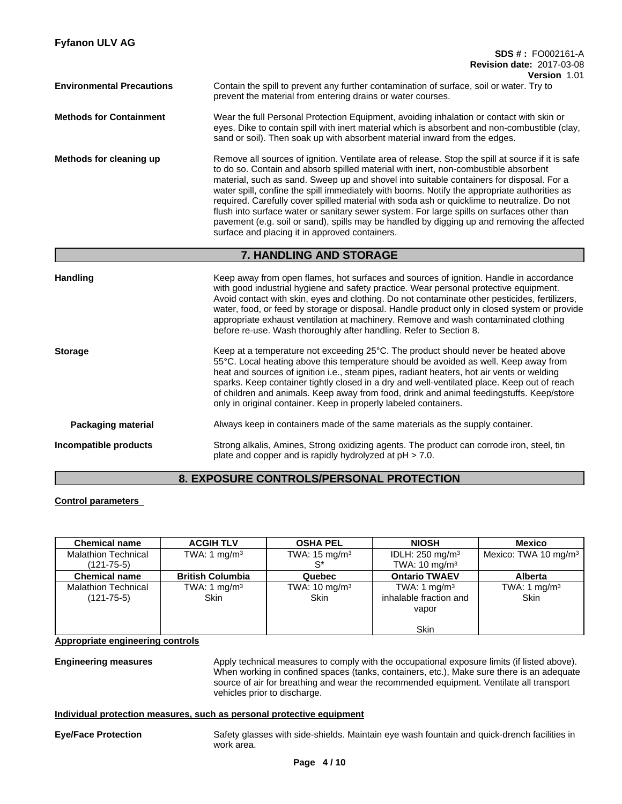| <b>Fyfanon ULV AG</b>            | <b>SDS #: FO002161-A</b>                                                                                                                                                                                                                                                                                                                                                                                                                                                                                                                                                                                                                                                                                                           |
|----------------------------------|------------------------------------------------------------------------------------------------------------------------------------------------------------------------------------------------------------------------------------------------------------------------------------------------------------------------------------------------------------------------------------------------------------------------------------------------------------------------------------------------------------------------------------------------------------------------------------------------------------------------------------------------------------------------------------------------------------------------------------|
|                                  | <b>Revision date: 2017-03-08</b><br>Version 1.01                                                                                                                                                                                                                                                                                                                                                                                                                                                                                                                                                                                                                                                                                   |
| <b>Environmental Precautions</b> | Contain the spill to prevent any further contamination of surface, soil or water. Try to<br>prevent the material from entering drains or water courses.                                                                                                                                                                                                                                                                                                                                                                                                                                                                                                                                                                            |
| <b>Methods for Containment</b>   | Wear the full Personal Protection Equipment, avoiding inhalation or contact with skin or<br>eyes. Dike to contain spill with inert material which is absorbent and non-combustible (clay,<br>sand or soil). Then soak up with absorbent material inward from the edges.                                                                                                                                                                                                                                                                                                                                                                                                                                                            |
| Methods for cleaning up          | Remove all sources of ignition. Ventilate area of release. Stop the spill at source if it is safe<br>to do so. Contain and absorb spilled material with inert, non-combustible absorbent<br>material, such as sand. Sweep up and shovel into suitable containers for disposal. For a<br>water spill, confine the spill immediately with booms. Notify the appropriate authorities as<br>required. Carefully cover spilled material with soda ash or quicklime to neutralize. Do not<br>flush into surface water or sanitary sewer system. For large spills on surfaces other than<br>pavement (e.g. soil or sand), spills may be handled by digging up and removing the affected<br>surface and placing it in approved containers. |
|                                  | 7. HANDLING AND STORAGE                                                                                                                                                                                                                                                                                                                                                                                                                                                                                                                                                                                                                                                                                                            |
| <b>Handling</b>                  | Keep away from open flames, hot surfaces and sources of ignition. Handle in accordance<br>with good industrial hygiene and safety practice. Wear personal protective equipment.<br>Avoid contact with skin, eyes and clothing. Do not contaminate other pesticides, fertilizers,<br>water, food, or feed by storage or disposal. Handle product only in closed system or provide<br>appropriate exhaust ventilation at machinery. Remove and wash contaminated clothing<br>before re-use. Wash thoroughly after handling. Refer to Section 8.                                                                                                                                                                                      |
| <b>Storage</b>                   | Keep at a temperature not exceeding 25°C. The product should never be heated above<br>55°C. Local heating above this temperature should be avoided as well. Keep away from<br>heat and sources of ignition i.e., steam pipes, radiant heaters, hot air vents or welding<br>sparks. Keep container tightly closed in a dry and well-ventilated place. Keep out of reach<br>of children and animals. Keep away from food, drink and animal feedingstuffs. Keep/store<br>only in original container. Keep in properly labeled containers.                                                                                                                                                                                             |
| <b>Packaging material</b>        | Always keep in containers made of the same materials as the supply container.                                                                                                                                                                                                                                                                                                                                                                                                                                                                                                                                                                                                                                                      |
| Incompatible products            | Strong alkalis, Amines, Strong oxidizing agents. The product can corrode iron, steel, tin<br>plate and copper and is rapidly hydrolyzed at $pH > 7.0$ .                                                                                                                                                                                                                                                                                                                                                                                                                                                                                                                                                                            |

## **8. EXPOSURE CONTROLS/PERSONAL PROTECTION**

### **Control parameters**

| <b>Chemical name</b>       | <b>ACGIH TLV</b>        | <b>OSHA PEL</b>          | <b>NIOSH</b>               | <b>Mexico</b>                    |
|----------------------------|-------------------------|--------------------------|----------------------------|----------------------------------|
| <b>Malathion Technical</b> | TWA: 1 mg/m $3$         | TWA: $15 \text{ mg/m}^3$ | IDLH: $250 \text{ mg/m}^3$ | Mexico: TWA 10 mg/m <sup>3</sup> |
| $(121 - 75 - 5)$           |                         | c*                       | TWA: $10 \text{ mg/m}^3$   |                                  |
| <b>Chemical name</b>       | <b>British Columbia</b> | Quebec                   | <b>Ontario TWAEV</b>       | <b>Alberta</b>                   |
| <b>Malathion Technical</b> | TWA: 1 mg/m $3$         | TWA: $10 \text{ mg/m}^3$ | TWA: 1 mg/m <sup>3</sup>   | TWA: 1 mg/m <sup>3</sup>         |
| $(121 - 75 - 5)$           | <b>Skin</b>             | <b>Skin</b>              | inhalable fraction and     | <b>Skin</b>                      |
|                            |                         |                          | vapor                      |                                  |
|                            |                         |                          |                            |                                  |
|                            |                         |                          | <b>Skin</b>                |                                  |

**Appropriate engineering controls**

**Engineering measures** Apply technical measures to comply with the occupational exposure limits (if listed above). When working in confined spaces (tanks, containers, etc.), Make sure there is an adequate source of air for breathing and wear the recommended equipment. Ventilate all transport vehicles prior to discharge.

#### **Individual protection measures, such as personal protective equipment**

**Eye/Face Protection** Safety glasses with side-shields. Maintain eye wash fountain and quick-drench facilities in work area.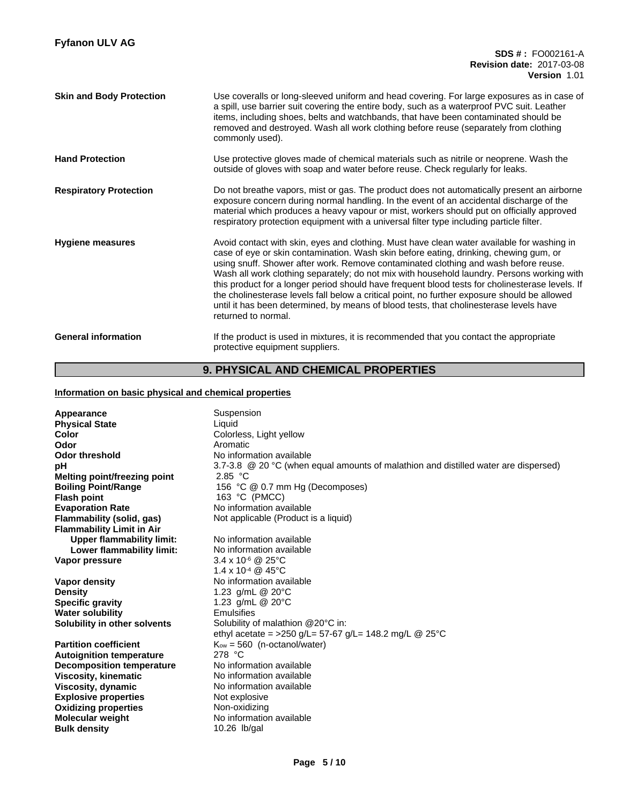| <b>Skin and Body Protection</b> | Use coveralls or long-sleeved uniform and head covering. For large exposures as in case of<br>a spill, use barrier suit covering the entire body, such as a waterproof PVC suit. Leather<br>items, including shoes, belts and watchbands, that have been contaminated should be<br>removed and destroyed. Wash all work clothing before reuse (separately from clothing<br>commonly used).                                                                                                                                                                                                                                                                                                   |
|---------------------------------|----------------------------------------------------------------------------------------------------------------------------------------------------------------------------------------------------------------------------------------------------------------------------------------------------------------------------------------------------------------------------------------------------------------------------------------------------------------------------------------------------------------------------------------------------------------------------------------------------------------------------------------------------------------------------------------------|
| <b>Hand Protection</b>          | Use protective gloves made of chemical materials such as nitrile or neoprene. Wash the<br>outside of gloves with soap and water before reuse. Check regularly for leaks.                                                                                                                                                                                                                                                                                                                                                                                                                                                                                                                     |
| <b>Respiratory Protection</b>   | Do not breathe vapors, mist or gas. The product does not automatically present an airborne<br>exposure concern during normal handling. In the event of an accidental discharge of the<br>material which produces a heavy vapour or mist, workers should put on officially approved<br>respiratory protection equipment with a universal filter type including particle filter.                                                                                                                                                                                                                                                                                                               |
| <b>Hygiene measures</b>         | Avoid contact with skin, eyes and clothing. Must have clean water available for washing in<br>case of eye or skin contamination. Wash skin before eating, drinking, chewing gum, or<br>using snuff. Shower after work. Remove contaminated clothing and wash before reuse.<br>Wash all work clothing separately; do not mix with household laundry. Persons working with<br>this product for a longer period should have frequent blood tests for cholinesterase levels. If<br>the cholinesterase levels fall below a critical point, no further exposure should be allowed<br>until it has been determined, by means of blood tests, that cholinesterase levels have<br>returned to normal. |
| <b>General information</b>      | If the product is used in mixtures, it is recommended that you contact the appropriate<br>protective equipment suppliers.                                                                                                                                                                                                                                                                                                                                                                                                                                                                                                                                                                    |

# **9. PHYSICAL AND CHEMICAL PROPERTIES**

### **Information on basic physical and chemical properties**

| Appearance<br><b>Physical State</b><br>Color<br>Odor<br><b>Odor threshold</b> | Suspension<br>Liquid<br>Colorless, Light yellow<br>Aromatic<br>No information available       |
|-------------------------------------------------------------------------------|-----------------------------------------------------------------------------------------------|
| рH                                                                            | 3.7-3.8 $\circledR$ 20 °C (when equal amounts of malathion and distilled water are dispersed) |
| <b>Melting point/freezing point</b>                                           | 2.85 °C                                                                                       |
| <b>Boiling Point/Range</b><br><b>Flash point</b>                              | 156 °C @ 0.7 mm Hg (Decomposes)<br>163 °C (PMCC)                                              |
| <b>Evaporation Rate</b>                                                       | No information available                                                                      |
| Flammability (solid, gas)                                                     | Not applicable (Product is a liquid)                                                          |
| <b>Flammability Limit in Air</b>                                              |                                                                                               |
| <b>Upper flammability limit:</b>                                              | No information available                                                                      |
| Lower flammability limit:                                                     | No information available                                                                      |
| Vapor pressure                                                                | $3.4 \times 10^{-6}$ @ 25°C                                                                   |
|                                                                               | $1.4 \times 10^{-4}$ @ 45°C                                                                   |
| Vapor density                                                                 | No information available                                                                      |
| <b>Density</b>                                                                | 1.23 g/mL @ 20°C                                                                              |
| <b>Specific gravity</b>                                                       | 1.23 g/mL @ 20°C                                                                              |
| <b>Water solubility</b>                                                       | Emulsifies                                                                                    |
| Solubility in other solvents                                                  | Solubility of malathion @20°C in:                                                             |
|                                                                               | ethyl acetate = >250 g/L= 57-67 g/L= 148.2 mg/L @ 25°C                                        |
| <b>Partition coefficient</b>                                                  | $K_{ow} = 560$ (n-octanol/water)                                                              |
| <b>Autoignition temperature</b>                                               | 278 °C                                                                                        |
| <b>Decomposition temperature</b>                                              | No information available                                                                      |
| <b>Viscosity, kinematic</b>                                                   | No information available                                                                      |
| Viscosity, dynamic                                                            | No information available                                                                      |
| <b>Explosive properties</b>                                                   | Not explosive                                                                                 |
| <b>Oxidizing properties</b>                                                   | Non-oxidizing                                                                                 |
| <b>Molecular weight</b>                                                       | No information available                                                                      |
| <b>Bulk density</b>                                                           | $10.26$ lb/gal                                                                                |
|                                                                               |                                                                                               |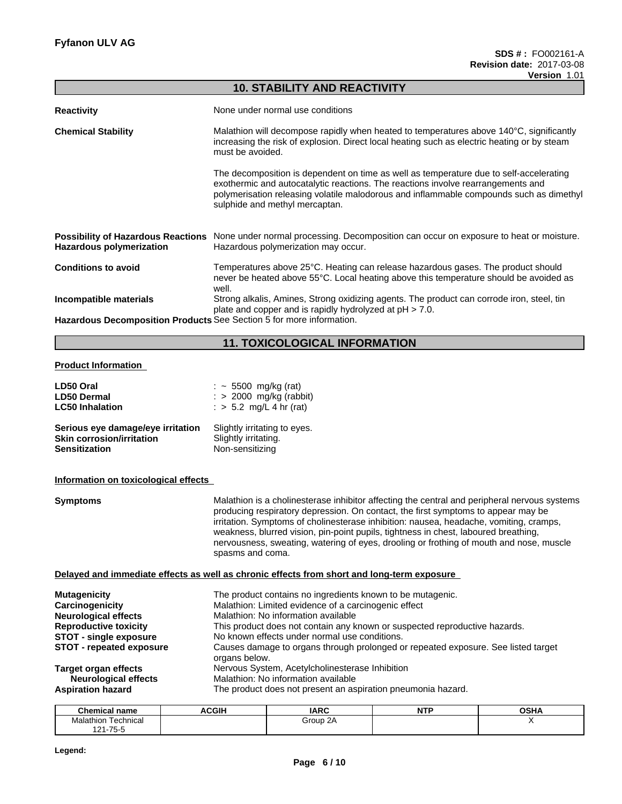|                                                                      | <b>10. STABILITY AND REACTIVITY</b>                                                                                                                                                                                                                                                                     |  |  |
|----------------------------------------------------------------------|---------------------------------------------------------------------------------------------------------------------------------------------------------------------------------------------------------------------------------------------------------------------------------------------------------|--|--|
| <b>Reactivity</b>                                                    | None under normal use conditions                                                                                                                                                                                                                                                                        |  |  |
| <b>Chemical Stability</b>                                            | Malathion will decompose rapidly when heated to temperatures above 140°C, significantly<br>increasing the risk of explosion. Direct local heating such as electric heating or by steam<br>must be avoided.                                                                                              |  |  |
|                                                                      | The decomposition is dependent on time as well as temperature due to self-accelerating<br>exothermic and autocatalytic reactions. The reactions involve rearrangements and<br>polymerisation releasing volatile malodorous and inflammable compounds such as dimethyl<br>sulphide and methyl mercaptan. |  |  |
| <b>Hazardous polymerization</b>                                      | Possibility of Hazardous Reactions None under normal processing. Decomposition can occur on exposure to heat or moisture.<br>Hazardous polymerization may occur.                                                                                                                                        |  |  |
| <b>Conditions to avoid</b>                                           | Temperatures above 25°C. Heating can release hazardous gases. The product should<br>never be heated above 55°C. Local heating above this temperature should be avoided as<br>well.                                                                                                                      |  |  |
| Incompatible materials                                               | Strong alkalis, Amines, Strong oxidizing agents. The product can corrode iron, steel, tin<br>plate and copper and is rapidly hydrolyzed at pH > 7.0.                                                                                                                                                    |  |  |
| Hazardous Decomposition Products See Section 5 for more information. |                                                                                                                                                                                                                                                                                                         |  |  |
|                                                                      | <b>11. TOXICOLOGICAL INFORMATION</b>                                                                                                                                                                                                                                                                    |  |  |
| <b>Product Information</b>                                           |                                                                                                                                                                                                                                                                                                         |  |  |
| LD50 Oral<br><b>LD50 Dermal</b><br><b>LC50 Inhalation</b>            | $:$ $\sim$ 5500 mg/kg (rat)<br>: > 2000 mg/kg (rabbit)<br>: > 5.2 mg/L 4 hr (rat)                                                                                                                                                                                                                       |  |  |
|                                                                      |                                                                                                                                                                                                                                                                                                         |  |  |

| Serious eye damage/eye irritation | Slightly irritating to eyes. |
|-----------------------------------|------------------------------|
| <b>Skin corrosion/irritation</b>  | Slightly irritating.         |
| <b>Sensitization</b>              | Non-sensitizing              |

### **Information on toxicological effects**

| <b>Symptoms</b>                                            | Malathion is a cholinesterase inhibitor affecting the central and peripheral nervous systems<br>producing respiratory depression. On contact, the first symptoms to appear may be<br>irritation. Symptoms of cholinesterase inhibition: nausea, headache, vomiting, cramps,<br>weakness, blurred vision, pin-point pupils, tightness in chest, laboured breathing,<br>nervousness, sweating, watering of eyes, drooling or frothing of mouth and nose, muscle<br>spasms and coma. |
|------------------------------------------------------------|-----------------------------------------------------------------------------------------------------------------------------------------------------------------------------------------------------------------------------------------------------------------------------------------------------------------------------------------------------------------------------------------------------------------------------------------------------------------------------------|
|                                                            | Delayed and immediate effects as well as chronic effects from short and long-term exposure                                                                                                                                                                                                                                                                                                                                                                                        |
| <b>Mutagenicity</b>                                        | The product contains no ingredients known to be mutagenic.                                                                                                                                                                                                                                                                                                                                                                                                                        |
| Carcinogenicity                                            | Malathion: Limited evidence of a carcinogenic effect                                                                                                                                                                                                                                                                                                                                                                                                                              |
| <b>Neurological effects</b>                                | Malathion: No information available                                                                                                                                                                                                                                                                                                                                                                                                                                               |
| <b>Reproductive toxicity</b>                               | This product does not contain any known or suspected reproductive hazards.                                                                                                                                                                                                                                                                                                                                                                                                        |
| <b>STOT - single exposure</b>                              | No known effects under normal use conditions.                                                                                                                                                                                                                                                                                                                                                                                                                                     |
| <b>STOT - repeated exposure</b>                            | Causes damage to organs through prolonged or repeated exposure. See listed target<br>organs below.                                                                                                                                                                                                                                                                                                                                                                                |
| <b>Target organ effects</b><br><b>Neurological effects</b> | Nervous System, Acetylcholinesterase Inhibition<br>Malathion: No information available                                                                                                                                                                                                                                                                                                                                                                                            |
| <b>Aspiration hazard</b>                                   | The product does not present an aspiration pneumonia hazard.                                                                                                                                                                                                                                                                                                                                                                                                                      |
|                                                            |                                                                                                                                                                                                                                                                                                                                                                                                                                                                                   |

| <b>Chemical name</b>                      | A<br>וטטי | <b>IARC</b> | $\overline{a}$<br>. | <b>OCUA</b><br>UJ.<br>пμ |
|-------------------------------------------|-----------|-------------|---------------------|--------------------------|
| . .<br>Technical<br>Malathion             |           | Group       |                     |                          |
| $\overline{ }$<br><b>.</b> ^ ^<br>コ / 5 し |           |             |                     |                          |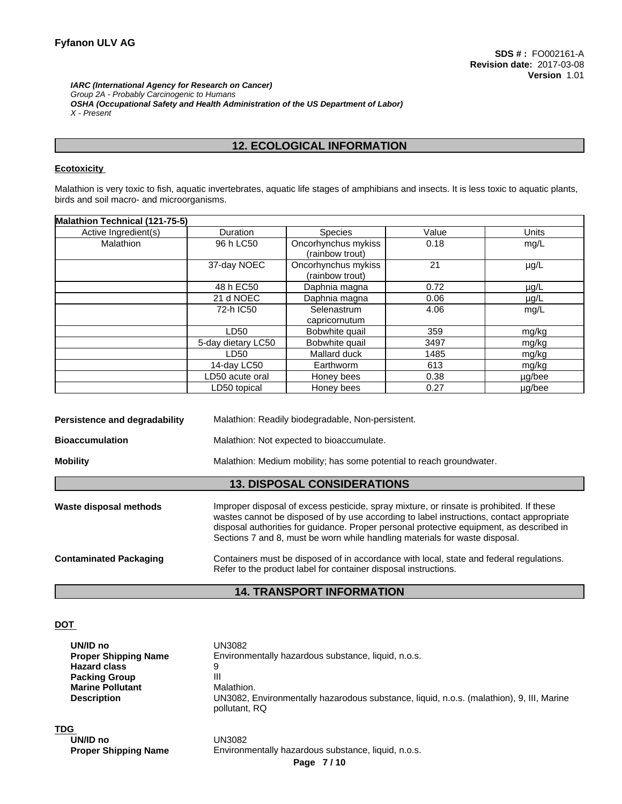*IARC (International Agency for Research on Cancer) Group 2A - Probably Carcinogenic to Humans OSHA (Occupational Safety and Health Administration of the US Department of Labor) X - Present*

## **12. ECOLOGICAL INFORMATION**

#### **Ecotoxicity**

Malathion is very toxic to fish, aquatic invertebrates, aquatic life stages of amphibians and insects. It is less toxic to aquatic plants, birds and soil macro- and microorganisms.

| Malathion Technical (121-75-5) |                    |                                        |       |              |
|--------------------------------|--------------------|----------------------------------------|-------|--------------|
| Active Ingredient(s)           | <b>Duration</b>    | <b>Species</b>                         | Value | <b>Units</b> |
| Malathion                      | 96 h LC50          | Oncorhynchus mykiss<br>(rainbow trout) | 0.18  | mg/L         |
|                                | 37-day NOEC        | Oncorhynchus mykiss<br>(rainbow trout) | 21    | $\mu$ g/L    |
|                                | 48 h EC50          | Daphnia magna                          | 0.72  | $\mu$ g/L    |
|                                | 21 d NOEC          | Daphnia magna                          | 0.06  | $\mu$ g/L    |
|                                | 72-h IC50          | Selenastrum<br>capricornutum           | 4.06  | mg/L         |
|                                | LD50               | Bobwhite quail                         | 359   | mg/kg        |
|                                | 5-day dietary LC50 | Bobwhite quail                         | 3497  | mg/kg        |
|                                | LD50               | Mallard duck                           | 1485  | mg/kg        |
|                                | 14-day LC50        | Earthworm                              | 613   | mg/kg        |
|                                | LD50 acute oral    | Honey bees                             | 0.38  | $\mu$ g/bee  |
|                                | LD50 topical       | Honey bees                             | 0.27  | µg/bee       |

| Persistence and degradability                                       | Malathion: Readily biodegradable, Non-persistent.                                                                                                                                                                                                                                                                                                               |  |  |  |
|---------------------------------------------------------------------|-----------------------------------------------------------------------------------------------------------------------------------------------------------------------------------------------------------------------------------------------------------------------------------------------------------------------------------------------------------------|--|--|--|
| <b>Bioaccumulation</b><br>Malathion: Not expected to bioaccumulate. |                                                                                                                                                                                                                                                                                                                                                                 |  |  |  |
| <b>Mobility</b>                                                     | Malathion: Medium mobility; has some potential to reach groundwater.                                                                                                                                                                                                                                                                                            |  |  |  |
|                                                                     | <b>13. DISPOSAL CONSIDERATIONS</b>                                                                                                                                                                                                                                                                                                                              |  |  |  |
| Waste disposal methods                                              | Improper disposal of excess pesticide, spray mixture, or rinsate is prohibited. If these<br>wastes cannot be disposed of by use according to label instructions, contact appropriate<br>disposal authorities for guidance. Proper personal protective equipment, as described in<br>Sections 7 and 8, must be worn while handling materials for waste disposal. |  |  |  |
| <b>Contaminated Packaging</b>                                       | Containers must be disposed of in accordance with local, state and federal regulations.<br>Refer to the product label for container disposal instructions.                                                                                                                                                                                                      |  |  |  |
|                                                                     |                                                                                                                                                                                                                                                                                                                                                                 |  |  |  |

# **14. TRANSPORT INFORMATION**

#### **DOT**

| UN/ID no<br><b>Proper Shipping Name</b><br><b>Hazard class</b> | UN3082<br>Environmentally hazardous substance, liquid, n.o.s.<br>9                                        |
|----------------------------------------------------------------|-----------------------------------------------------------------------------------------------------------|
| <b>Packing Group</b><br><b>Marine Pollutant</b>                | Ш<br>Malathion.                                                                                           |
| <b>Description</b>                                             | UN3082, Environmentally hazarodous substance, liquid, n.o.s. (malathion), 9, III, Marine<br>pollutant, RQ |
| <b>TDG</b><br>UN/ID no                                         | UN3082                                                                                                    |
| <b>Proper Shipping Name</b>                                    | Environmentally hazardous substance, liquid, n.o.s.                                                       |
|                                                                | Page 7/10                                                                                                 |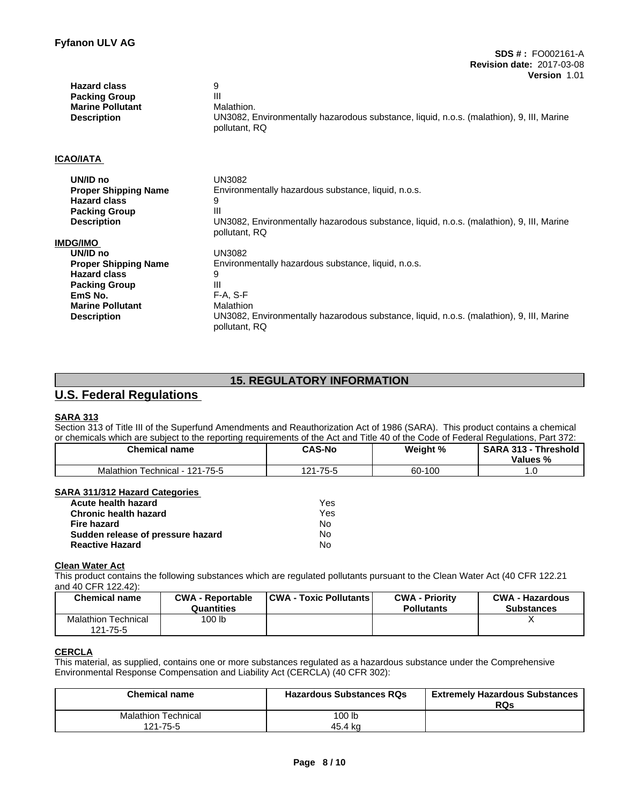| <b>Hazard class</b><br><b>Packing Group</b><br><b>Marine Pollutant</b><br><b>Description</b> | 9<br>Ш<br>Malathion.<br>UN3082, Environmentally hazarodous substance, liquid, n.o.s. (malathion), 9, III, Marine<br>pollutant, RQ |
|----------------------------------------------------------------------------------------------|-----------------------------------------------------------------------------------------------------------------------------------|
| ICAO/IATA                                                                                    |                                                                                                                                   |
| UN/ID no                                                                                     | <b>UN3082</b>                                                                                                                     |
| <b>Proper Shipping Name</b>                                                                  | Environmentally hazardous substance, liquid, n.o.s.                                                                               |
| <b>Hazard class</b>                                                                          | 9                                                                                                                                 |
| <b>Packing Group</b>                                                                         | Ш                                                                                                                                 |
| <b>Description</b>                                                                           | UN3082, Environmentally hazarodous substance, liquid, n.o.s. (malathion), 9, III, Marine<br>pollutant, RQ                         |
| IMDG/IMO                                                                                     |                                                                                                                                   |
| UN/ID no                                                                                     | <b>UN3082</b>                                                                                                                     |
| <b>Proper Shipping Name</b>                                                                  | Environmentally hazardous substance, liquid, n.o.s.                                                                               |
| <b>Hazard class</b>                                                                          | 9                                                                                                                                 |
| <b>Packing Group</b>                                                                         | Ш                                                                                                                                 |
| EmS No.                                                                                      | $F-A, S-F$                                                                                                                        |
| <b>Marine Pollutant</b>                                                                      | Malathion                                                                                                                         |
| <b>Description</b>                                                                           | UN3082, Environmentally hazarodous substance, liquid, n.o.s. (malathion), 9, III, Marine<br>pollutant, RQ                         |

# **15. REGULATORY INFORMATION**

# **U.S. Federal Regulations**

#### **SARA 313**

Section 313 of Title III of the Superfund Amendments and Reauthorization Act of 1986 (SARA). This product contains a chemical or chemicals which are subject to the reporting requirements of the Act and Title 40 of the Code of Federal Regulations, Part 372:

| <b>Chemical name</b> | <b>CAS-No</b> | Weight % | <b>SARA 313</b><br><b>Threshold</b><br>$\sim$<br>Values<br>"∕∘ |
|----------------------|---------------|----------|----------------------------------------------------------------|
| 121-75-5             | -75-5         | -100     | .                                                              |
| Technical - 1        | ຳ             | co.      |                                                                |
| Malathion            | '-ا ∡،        | ου·      |                                                                |

#### **SARA 311/312 Hazard Categories**

| <b>Acute health hazard</b>        | Yes. |
|-----------------------------------|------|
| <b>Chronic health hazard</b>      | Yes  |
| <b>Fire hazard</b>                | N٥   |
| Sudden release of pressure hazard | N٥   |
| <b>Reactive Hazard</b>            | No   |

#### **Clean Water Act**

This product contains the following substances which are regulated pollutants pursuant to the Clean Water Act (40 CFR 122.21 and 40 CFR 122.42):

| <b>Chemical name</b>                   | <b>CWA - Reportable</b><br>Quantities | <b>CWA - Toxic Pollutants  </b> | <b>CWA - Priority</b><br><b>Pollutants</b> | <b>CWA - Hazardous</b><br><b>Substances</b> |
|----------------------------------------|---------------------------------------|---------------------------------|--------------------------------------------|---------------------------------------------|
| <b>Malathion Technical</b><br>121-75-5 | 100 lb                                |                                 |                                            |                                             |

### **CERCLA**

This material, as supplied, contains one or more substances regulated as a hazardous substance under the Comprehensive Environmental Response Compensation and Liability Act (CERCLA) (40 CFR 302):

| <b>Chemical name</b>       | <b>Hazardous Substances RQs</b> | <b>Extremely Hazardous Substances</b><br>RQs |
|----------------------------|---------------------------------|----------------------------------------------|
| <b>Malathion Technical</b> | 100 lb                          |                                              |
| 121-75-5                   | 45.4 ka                         |                                              |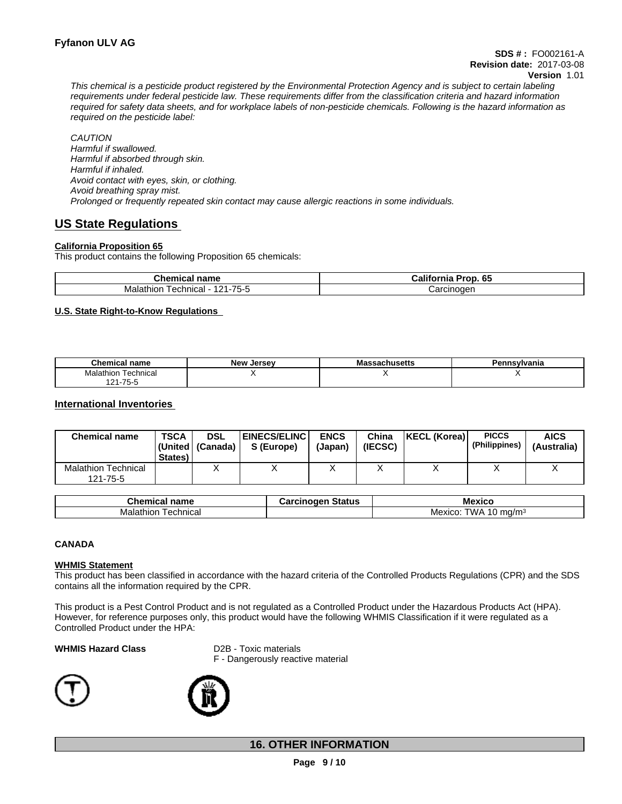This chemical is a pesticide product registered by the Environmental Protection Agency and is subject to certain labeling requirements under federal pesticide law. These requirements differ from the classification criteria and hazard information required for safety data sheets, and for workplace labels of non-pesticide chemicals. Following is the hazard information as *required on the pesticide label:*

*CAUTION Harmful if swallowed. Harmful if absorbed through skin. Harmful if inhaled. Avoid contact with eyes, skin, or clothing. Avoid breathing spray mist. Prolonged or frequently repeated skin contact may cause allergic reactions in some individuals.*

# **US State Regulations**

#### **California Proposition 65**

This product contains the following Proposition 65 chemicals:

| ∩hom…<br>name<br>$\cdots$<br>опеннса         | <br>$\mathbf{r}$<br>Pron<br>.<br>- -<br>ااa⊔rٽ<br>o.<br>AH.<br>.ur |  |  |
|----------------------------------------------|--------------------------------------------------------------------|--|--|
| $- -$<br>101<br>l echnical<br>Malathion<br>ີ | noaer<br>cino<br>n,<br>ا0ت                                         |  |  |

#### **U.S. State Right-to-Know Regulations**

| <b>Chemical name</b>       | New<br>Jersev | Massachusetts | Pennsvlvania |
|----------------------------|---------------|---------------|--------------|
| Fechnical<br>Malath<br>non |               |               | . .          |
| $1 - 75 - 5$<br>1 O A      |               |               |              |

#### **International Inventories**

| <b>Chemical name</b>                   | <b>TSCA</b><br>States) | <b>DSL</b><br> (United   (Canada) | <b>EINECS/ELINC</b><br>S (Europe) | <b>ENCS</b><br>(Japan) | China<br>(IECSC) | <b>KECL (Korea)</b> | <b>PICCS</b><br>(Philippines) | <b>AICS</b><br>(Australia) |
|----------------------------------------|------------------------|-----------------------------------|-----------------------------------|------------------------|------------------|---------------------|-------------------------------|----------------------------|
| <b>Malathion Technical</b><br>121-75-5 |                        |                                   |                                   |                        |                  |                     |                               | $\lambda$                  |

| --<br>.<br>name<br>ne<br>alud l | -----<br>$- - - - -$<br>วเสเนธ | M<br>$\mathbf{v}$<br>ाक |
|---------------------------------|--------------------------------|-------------------------|
| echnical<br>. л.-<br>lalathior  |                                | WA.<br>ma/m∘<br>Mexico  |

#### **CANADA**

#### **WHMIS Statement**

This product has been classified in accordance with the hazard criteria of the Controlled Products Regulations (CPR) and the SDS contains all the information required by the CPR.

This product is a Pest Control Product and is not regulated as a Controlled Product under the Hazardous Products Act (HPA). However, for reference purposes only, this product would have the following WHMIS Classification if it were regulated as a Controlled Product under the HPA:

#### **WHMIS Hazard Class** D2B - Toxic materials

F - Dangerously reactive material





## **16. OTHER INFORMATION**